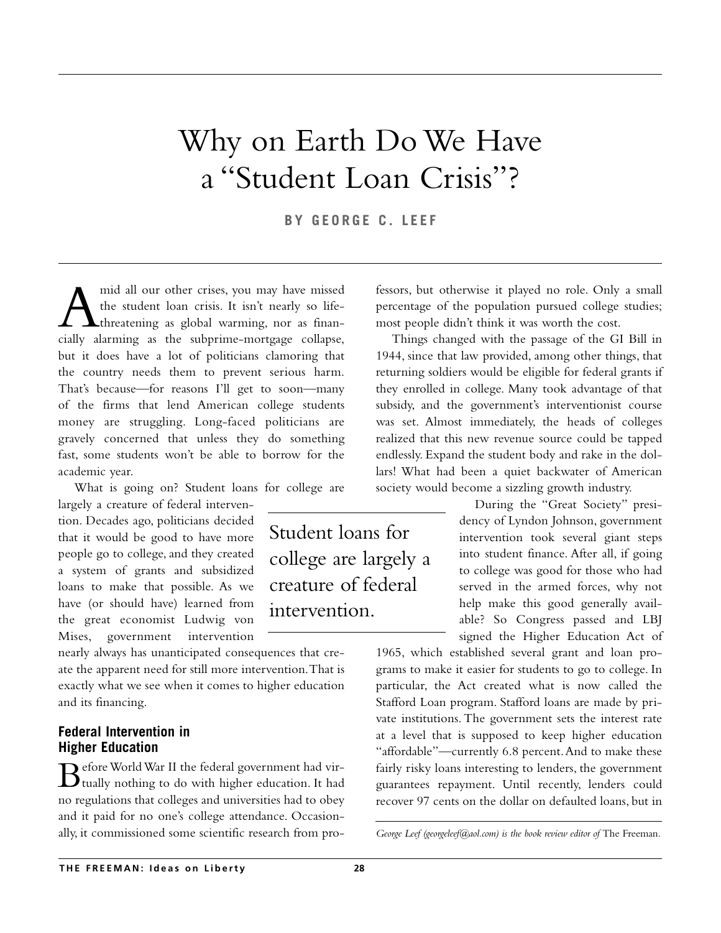# Why on Earth Do We Have a "Student Loan Crisis"?

**BY GEORGE C. LEEF**

Student loans for

college are largely a

creature of federal

intervention.

A mid all our other crises, you may have missed<br>the student loan crisis. It isn't nearly so life-<br>threatening as global warming, nor as finan-<br>cially alarming as the subprime-mortgage collapse. the student loan crisis. It isn't nearly so lifethreatening as global warming, nor as financially alarming as the subprime-mortgage collapse, but it does have a lot of politicians clamoring that the country needs them to prevent serious harm. That's because—for reasons I'll get to soon—many of the firms that lend American college students money are struggling. Long-faced politicians are gravely concerned that unless they do something fast, some students won't be able to borrow for the academic year.

What is going on? Student loans for college are

largely a creature of federal intervention. Decades ago, politicians decided that it would be good to have more people go to college, and they created a system of grants and subsidized loans to make that possible. As we have (or should have) learned from the great economist Ludwig von Mises, government intervention

nearly always has unanticipated consequences that create the apparent need for still more intervention.That is exactly what we see when it comes to higher education and its financing.

## **Federal Intervention in Higher Education**

 $\mathbf D$  efore World War II the federal government had vir- $\mathbf D$  tually nothing to do with higher education. It had no regulations that colleges and universities had to obey and it paid for no one's college attendance. Occasionally, it commissioned some scientific research from professors, but otherwise it played no role. Only a small percentage of the population pursued college studies; most people didn't think it was worth the cost.

Things changed with the passage of the GI Bill in 1944, since that law provided, among other things, that returning soldiers would be eligible for federal grants if they enrolled in college. Many took advantage of that subsidy, and the government's interventionist course was set. Almost immediately, the heads of colleges realized that this new revenue source could be tapped endlessly. Expand the student body and rake in the dollars! What had been a quiet backwater of American society would become a sizzling growth industry.

> During the "Great Society" presidency of Lyndon Johnson, government intervention took several giant steps into student finance. After all, if going to college was good for those who had served in the armed forces, why not help make this good generally available? So Congress passed and LBJ signed the Higher Education Act of

1965, which established several grant and loan programs to make it easier for students to go to college. In particular, the Act created what is now called the Stafford Loan program. Stafford loans are made by private institutions. The government sets the interest rate at a level that is supposed to keep higher education "affordable"—currently 6.8 percent.And to make these fairly risky loans interesting to lenders, the government guarantees repayment. Until recently, lenders could recover 97 cents on the dollar on defaulted loans, but in

George Leef (georgeleef@aol.com) is the book review editor of The Freeman.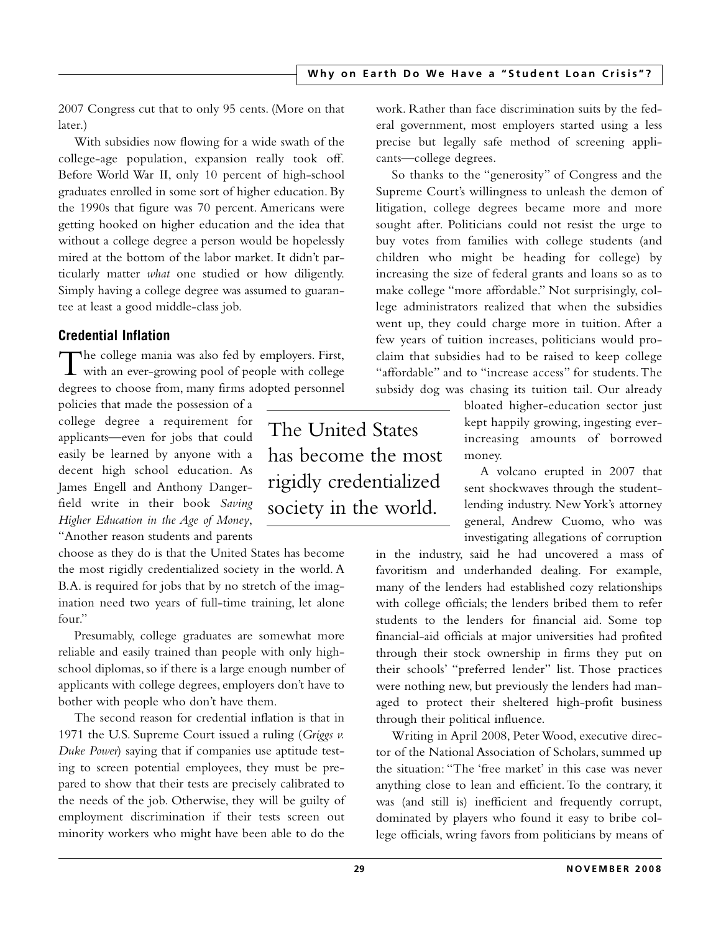2007 Congress cut that to only 95 cents. (More on that later.)

With subsidies now flowing for a wide swath of the college-age population, expansion really took off. Before World War II, only 10 percent of high-school graduates enrolled in some sort of higher education. By the 1990s that figure was 70 percent. Americans were getting hooked on higher education and the idea that without a college degree a person would be hopelessly mired at the bottom of the labor market. It didn't particularly matter *what* one studied or how diligently. Simply having a college degree was assumed to guarantee at least a good middle-class job.

# **Credential Inflation**

The college mania was also fed by employers. First, with an ever-growing pool of people with college degrees to choose from, many firms adopted personnel

policies that made the possession of a college degree a requirement for applicants—even for jobs that could easily be learned by anyone with a decent high school education. As James Engell and Anthony Dangerfield write in their book *Saving Higher Education in the Age of Money*, "Another reason students and parents

choose as they do is that the United States has become the most rigidly credentialized society in the world. A B.A. is required for jobs that by no stretch of the imagination need two years of full-time training, let alone four."

Presumably, college graduates are somewhat more reliable and easily trained than people with only highschool diplomas, so if there is a large enough number of applicants with college degrees, employers don't have to bother with people who don't have them.

The second reason for credential inflation is that in 1971 the U.S. Supreme Court issued a ruling (*Griggs v. Duke Power*) saying that if companies use aptitude testing to screen potential employees, they must be prepared to show that their tests are precisely calibrated to the needs of the job. Otherwise, they will be guilty of employment discrimination if their tests screen out minority workers who might have been able to do the

The United States has become the most rigidly credentialized society in the world.

work. Rather than face discrimination suits by the federal government, most employers started using a less precise but legally safe method of screening applicants—college degrees.

So thanks to the "generosity" of Congress and the Supreme Court's willingness to unleash the demon of litigation, college degrees became more and more sought after. Politicians could not resist the urge to buy votes from families with college students (and children who might be heading for college) by increasing the size of federal grants and loans so as to make college "more affordable." Not surprisingly, college administrators realized that when the subsidies went up, they could charge more in tuition. After a few years of tuition increases, politicians would proclaim that subsidies had to be raised to keep college "affordable" and to "increase access" for students.The subsidy dog was chasing its tuition tail. Our already

> bloated higher-education sector just kept happily growing, ingesting everincreasing amounts of borrowed money.

> A volcano erupted in 2007 that sent shockwaves through the studentlending industry. New York's attorney general, Andrew Cuomo, who was investigating allegations of corruption

in the industry, said he had uncovered a mass of favoritism and underhanded dealing. For example, many of the lenders had established cozy relationships with college officials; the lenders bribed them to refer students to the lenders for financial aid. Some top financial-aid officials at major universities had profited through their stock ownership in firms they put on their schools' "preferred lender" list. Those practices were nothing new, but previously the lenders had managed to protect their sheltered high-profit business through their political influence.

Writing in April 2008, Peter Wood, executive director of the National Association of Scholars, summed up the situation: "The 'free market' in this case was never anything close to lean and efficient. To the contrary, it was (and still is) inefficient and frequently corrupt, dominated by players who found it easy to bribe college officials, wring favors from politicians by means of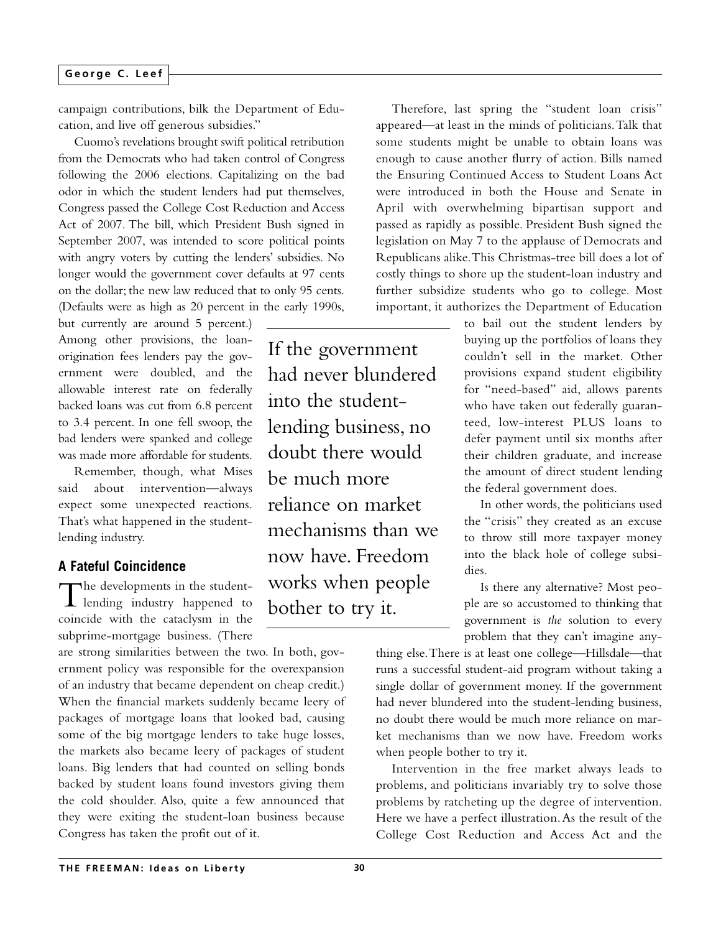#### **George C. Leef**

campaign contributions, bilk the Department of Education, and live off generous subsidies."

Cuomo's revelations brought swift political retribution from the Democrats who had taken control of Congress following the 2006 elections. Capitalizing on the bad odor in which the student lenders had put themselves, Congress passed the College Cost Reduction and Access Act of 2007. The bill, which President Bush signed in September 2007, was intended to score political points with angry voters by cutting the lenders' subsidies. No longer would the government cover defaults at 97 cents on the dollar; the new law reduced that to only 95 cents. (Defaults were as high as 20 percent in the early 1990s,

but currently are around 5 percent.) Among other provisions, the loanorigination fees lenders pay the government were doubled, and the allowable interest rate on federally backed loans was cut from 6.8 percent to 3.4 percent. In one fell swoop, the bad lenders were spanked and college was made more affordable for students.

Remember, though, what Mises said about intervention—always expect some unexpected reactions. That's what happened in the studentlending industry.

### **A Fateful Coincidence**

The developments in the student-<br>lending industry happened to coincide with the cataclysm in the subprime-mortgage business. (There

are strong similarities between the two. In both, government policy was responsible for the overexpansion of an industry that became dependent on cheap credit.) When the financial markets suddenly became leery of packages of mortgage loans that looked bad, causing some of the big mortgage lenders to take huge losses, the markets also became leery of packages of student loans. Big lenders that had counted on selling bonds backed by student loans found investors giving them the cold shoulder. Also, quite a few announced that they were exiting the student-loan business because Congress has taken the profit out of it.

If the government had never blundered into the studentlending business, no doubt there would be much more reliance on market mechanisms than we now have. Freedom works when people bother to try it.

Therefore, last spring the "student loan crisis" appeared—at least in the minds of politicians.Talk that some students might be unable to obtain loans was enough to cause another flurry of action. Bills named the Ensuring Continued Access to Student Loans Act were introduced in both the House and Senate in April with overwhelming bipartisan support and passed as rapidly as possible. President Bush signed the legislation on May 7 to the applause of Democrats and Republicans alike.This Christmas-tree bill does a lot of costly things to shore up the student-loan industry and further subsidize students who go to college. Most important, it authorizes the Department of Education

> to bail out the student lenders by buying up the portfolios of loans they couldn't sell in the market. Other provisions expand student eligibility for "need-based" aid, allows parents who have taken out federally guaranteed, low-interest PLUS loans to defer payment until six months after their children graduate, and increase the amount of direct student lending the federal government does.

> In other words, the politicians used the "crisis" they created as an excuse to throw still more taxpayer money into the black hole of college subsidies.

> Is there any alternative? Most people are so accustomed to thinking that government is *the* solution to every problem that they can't imagine any-

thing else.There is at least one college—Hillsdale—that runs a successful student-aid program without taking a single dollar of government money. If the government had never blundered into the student-lending business, no doubt there would be much more reliance on market mechanisms than we now have. Freedom works when people bother to try it.

Intervention in the free market always leads to problems, and politicians invariably try to solve those problems by ratcheting up the degree of intervention. Here we have a perfect illustration.As the result of the College Cost Reduction and Access Act and the